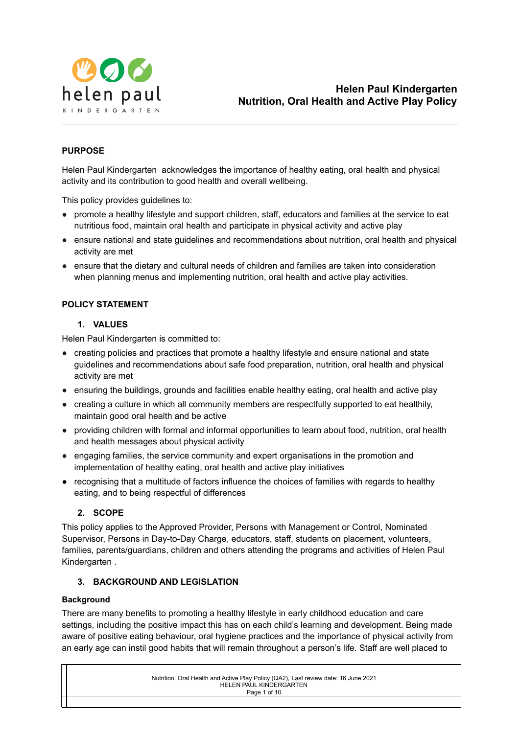

## **PURPOSE**

Helen Paul Kindergarten acknowledges the importance of healthy eating, oral health and physical activity and its contribution to good health and overall wellbeing.

This policy provides guidelines to:

- promote a healthy lifestyle and support children, staff, educators and families at the service to eat nutritious food, maintain oral health and participate in physical activity and active play
- ensure national and state guidelines and recommendations about nutrition, oral health and physical activity are met
- ensure that the dietary and cultural needs of children and families are taken into consideration when planning menus and implementing nutrition, oral health and active play activities.

## **POLICY STATEMENT**

## **1. VALUES**

Helen Paul Kindergarten is committed to:

- creating policies and practices that promote a healthy lifestyle and ensure national and state guidelines and recommendations about safe food preparation, nutrition, oral health and physical activity are met
- ensuring the buildings, grounds and facilities enable healthy eating, oral health and active play
- creating a culture in which all community members are respectfully supported to eat healthily, maintain good oral health and be active
- providing children with formal and informal opportunities to learn about food, nutrition, oral health and health messages about physical activity
- engaging families, the service community and expert organisations in the promotion and implementation of healthy eating, oral health and active play initiatives
- recognising that a multitude of factors influence the choices of families with regards to healthy eating, and to being respectful of differences

## **2. SCOPE**

This policy applies to the Approved Provider, Persons with Management or Control, Nominated Supervisor, Persons in Day-to-Day Charge, educators, staff, students on placement, volunteers, families, parents/guardians, children and others attending the programs and activities of Helen Paul Kindergarten .

## **3. BACKGROUND AND LEGISLATION**

## **Background**

There are many benefits to promoting a healthy lifestyle in early childhood education and care settings, including the positive impact this has on each child's learning and development. Being made aware of positive eating behaviour, oral hygiene practices and the importance of physical activity from an early age can instil good habits that will remain throughout a person's life. Staff are well placed to

| Nutrition, Oral Health and Active Play Policy (QA2), Last review date: 16 June 2021 |
|-------------------------------------------------------------------------------------|
| HELEN PAUL KINDERGARTEN                                                             |
| Page 1 of 10                                                                        |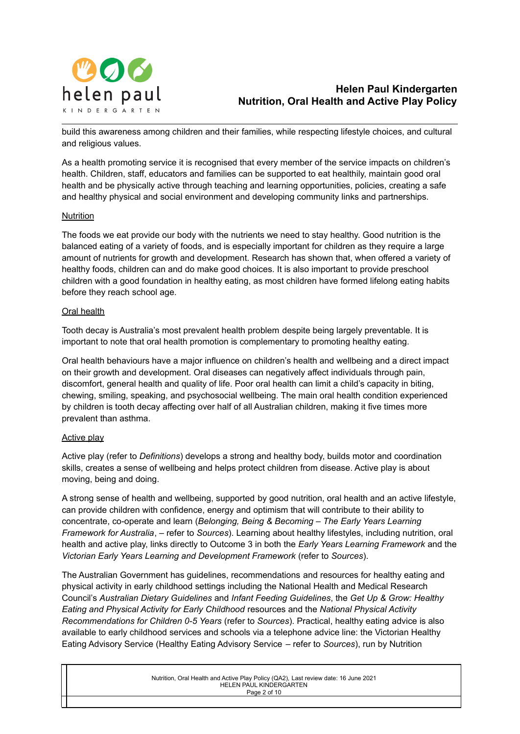

build this awareness among children and their families, while respecting lifestyle choices, and cultural and religious values.

As a health promoting service it is recognised that every member of the service impacts on children's health. Children, staff, educators and families can be supported to eat healthily, maintain good oral health and be physically active through teaching and learning opportunities, policies, creating a safe and healthy physical and social environment and developing community links and partnerships.

#### Nutrition

The foods we eat provide our body with the nutrients we need to stay healthy. Good nutrition is the balanced eating of a variety of foods, and is especially important for children as they require a large amount of nutrients for growth and development. Research has shown that, when offered a variety of healthy foods, children can and do make good choices. It is also important to provide preschool children with a good foundation in healthy eating, as most children have formed lifelong eating habits before they reach school age.

#### Oral health

Tooth decay is Australia's most prevalent health problem despite being largely preventable. It is important to note that oral health promotion is complementary to promoting healthy eating.

Oral health behaviours have a major influence on children's health and wellbeing and a direct impact on their growth and development. Oral diseases can negatively affect individuals through pain, discomfort, general health and quality of life. Poor oral health can limit a child's capacity in biting, chewing, smiling, speaking, and psychosocial wellbeing. The main oral health condition experienced by children is tooth decay affecting over half of all Australian children, making it five times more prevalent than asthma.

## Active play

Active play (refer to *Definitions*) develops a strong and healthy body, builds motor and coordination skills, creates a sense of wellbeing and helps protect children from disease. Active play is about moving, being and doing.

A strong sense of health and wellbeing, supported by good nutrition, oral health and an active lifestyle, can provide children with confidence, energy and optimism that will contribute to their ability to concentrate, co-operate and learn (*Belonging, Being & Becoming – The Early Years Learning Framework for Australia*, – refer to *Sources*). Learning about healthy lifestyles, including nutrition, oral health and active play, links directly to Outcome 3 in both the *Early Years Learning Framework* and the *Victorian Early Years Learning and Development Framework* (refer to *Sources*).

The Australian Government has guidelines, recommendations and resources for healthy eating and physical activity in early childhood settings including the National Health and Medical Research Council's *Australian Dietary Guidelines* and *Infant Feeding Guidelines*, the *Get Up & Grow: Healthy Eating and Physical Activity for Early Childhood* resources and the *National Physical Activity Recommendations for Children 0-5 Years* (refer to *Sources*). Practical, healthy eating advice is also available to early childhood services and schools via a telephone advice line: the Victorian Healthy Eating Advisory Service (Healthy Eating Advisory Service – refer to *Sources*), run by Nutrition

| Nutrition, Oral Health and Active Play Policy (QA2), Last review date: 16 June 2021 |
|-------------------------------------------------------------------------------------|
| HELEN PAUL KINDERGARTEN                                                             |
| Page 2 of 10                                                                        |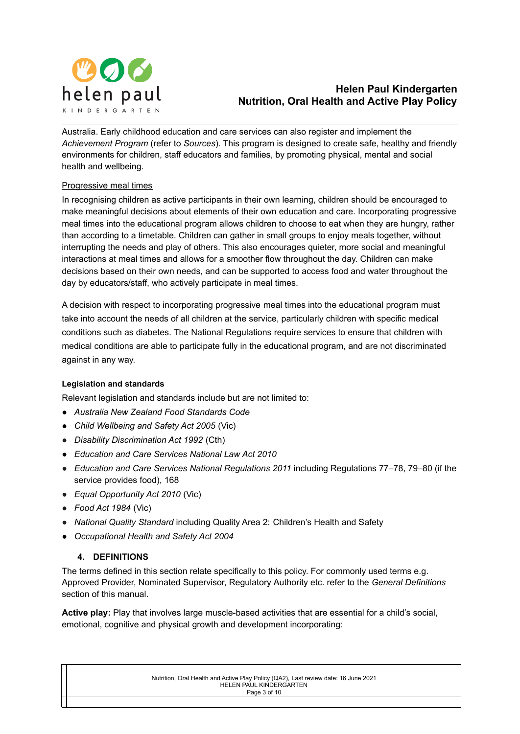

Australia. Early childhood education and care services can also register and implement the *Achievement Program* (refer to *Sources*). This program is designed to create safe, healthy and friendly environments for children, staff educators and families, by promoting physical, mental and social health and wellbeing.

## Progressive meal times

In recognising children as active participants in their own learning, children should be encouraged to make meaningful decisions about elements of their own education and care. Incorporating progressive meal times into the educational program allows children to choose to eat when they are hungry, rather than according to a timetable. Children can gather in small groups to enjoy meals together, without interrupting the needs and play of others. This also encourages quieter, more social and meaningful interactions at meal times and allows for a smoother flow throughout the day. Children can make decisions based on their own needs, and can be supported to access food and water throughout the day by educators/staff, who actively participate in meal times.

A decision with respect to incorporating progressive meal times into the educational program must take into account the needs of all children at the service, particularly children with specific medical conditions such as diabetes. The National Regulations require services to ensure that children with medical conditions are able to participate fully in the educational program, and are not discriminated against in any way.

## **Legislation and standards**

Relevant legislation and standards include but are not limited to:

- *● Australia New Zealand Food Standards Code*
- *● Child Wellbeing and Safety Act 2005* (Vic)
- *Disability Discrimination Act 1992* (Cth)
- *● Education and Care Services National Law Act 2010*
- *Education and Care Services National Regulations 2011* including Regulations 77–78, 79–80 (if the service provides food), 168
- *Equal Opportunity Act 2010* (Vic)
- *Food Act 1984* (Vic)
- *National Quality Standard* including Quality Area 2: Children's Health and Safety
- *● Occupational Health and Safety Act 2004*

## **4. DEFINITIONS**

The terms defined in this section relate specifically to this policy. For commonly used terms e.g. Approved Provider, Nominated Supervisor, Regulatory Authority etc. refer to the *General Definitions* section of this manual.

**Active play:** Play that involves large muscle-based activities that are essential for a child's social, emotional, cognitive and physical growth and development incorporating:

> Nutrition, Oral Health and Active Play Policy (QA2), Last review date: 16 June 2021 HELEN PAUL KINDERGARTEN Page 3 of 10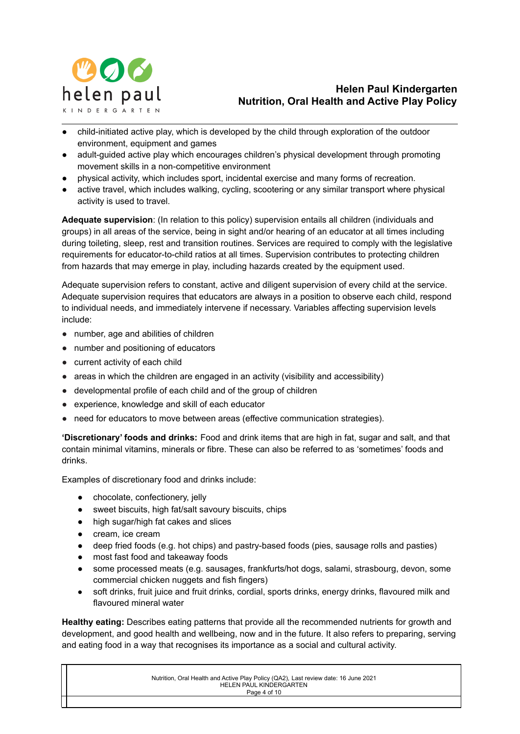

- child-initiated active play, which is developed by the child through exploration of the outdoor environment, equipment and games
- adult-guided active play which encourages children's physical development through promoting movement skills in a non-competitive environment
- physical activity, which includes sport, incidental exercise and many forms of recreation.
- active travel, which includes walking, cycling, scootering or any similar transport where physical activity is used to travel.

**Adequate supervision**: (In relation to this policy) supervision entails all children (individuals and groups) in all areas of the service, being in sight and/or hearing of an educator at all times including during toileting, sleep, rest and transition routines. Services are required to comply with the legislative requirements for educator-to-child ratios at all times. Supervision contributes to protecting children from hazards that may emerge in play, including hazards created by the equipment used.

Adequate supervision refers to constant, active and diligent supervision of every child at the service. Adequate supervision requires that educators are always in a position to observe each child, respond to individual needs, and immediately intervene if necessary. Variables affecting supervision levels include:

- number, age and abilities of children
- number and positioning of educators
- current activity of each child
- areas in which the children are engaged in an activity (visibility and accessibility)
- developmental profile of each child and of the group of children
- experience, knowledge and skill of each educator
- need for educators to move between areas (effective communication strategies).

**'Discretionary' foods and drinks:** Food and drink items that are high in fat, sugar and salt, and that contain minimal vitamins, minerals or fibre. These can also be referred to as 'sometimes' foods and drinks.

Examples of discretionary food and drinks include:

- chocolate, confectionery, jelly
- sweet biscuits, high fat/salt savoury biscuits, chips
- high sugar/high fat cakes and slices
- cream, ice cream
- deep fried foods (e.g. hot chips) and pastry-based foods (pies, sausage rolls and pasties)
- most fast food and takeaway foods
- some processed meats (e.g. sausages, frankfurts/hot dogs, salami, strasbourg, devon, some commercial chicken nuggets and fish fingers)
- soft drinks, fruit juice and fruit drinks, cordial, sports drinks, energy drinks, flavoured milk and flavoured mineral water

**Healthy eating:** Describes eating patterns that provide all the recommended nutrients for growth and development, and good health and wellbeing, now and in the future. It also refers to preparing, serving and eating food in a way that recognises its importance as a social and cultural activity.

| Nutrition, Oral Health and Active Play Policy (QA2), Last review date: 16 June 2021 |
|-------------------------------------------------------------------------------------|
| HELEN PAUL KINDERGARTEN                                                             |
| Page 4 of 10                                                                        |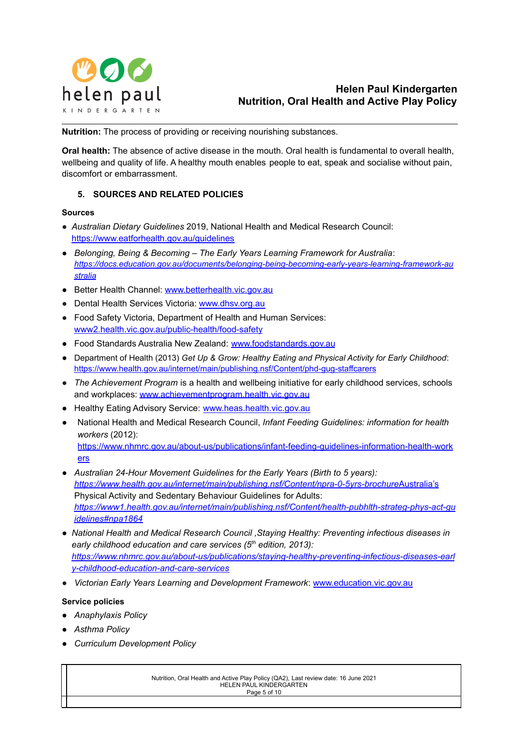

**Nutrition:** The process of providing or receiving nourishing substances.

**Oral health:** The absence of active disease in the mouth. Oral health is fundamental to overall health, wellbeing and quality of life. A healthy mouth enables people to eat, speak and socialise without pain, discomfort or embarrassment.

## **5. SOURCES AND RELATED POLICIES**

#### **Sources**

- *Australian Dietary Guidelines* 2019, National Health and Medical Research Council[:](https://www.eatforhealth.gov.au/guidelines) <https://www.eatforhealth.gov.au/guidelines>
- *● Belonging, Being & Becoming – The Early Years Learning Framework for Australia*: *[https://docs.education.gov.au/documents/belonging-being-becoming-early-years-learning-framework-au](https://docs.education.gov.au/documents/belonging-being-becoming-early-years-learning-framework-australia) [stralia](https://docs.education.gov.au/documents/belonging-being-becoming-early-years-learning-framework-australia)*
- Better Health Channel: [www.betterhealth.vic.gov.au](http://www.betterhealth.vic.gov.au)
- Dental Health Services Victoria: [www.dhsv.org.au](http://www.dhsv.org.au)
- Food Safety Victoria, Department of Health and Human Services: [www2.health.vic.gov.au/public-health/food-safety](https://www2.health.vic.gov.au/public-health/food-safety)
- Food Standards Australia New Zealand: [www.foodstandards.gov.au](http://www.foodstandards.gov.au)
- Department of Health (2013) *Get Up & Grow: Healthy Eating and Physical Activity for Early Childhood*: <https://www.health.gov.au/internet/main/publishing.nsf/Content/phd-gug-staffcarers>
- *The Achievement Program* is a health and wellbeing initiative for early childhood services, schools and workplaces: [www.achievementprogram.health.vic.gov.au](http://www.achievementprogram.health.vic.gov.au)
- Healthy Eating Advisory Service: [www.heas.health.vic.gov.au](http://heas.health.vic.gov.au/)
- National Health and Medical Research Council, *Infant Feeding Guidelines: information for health workers* (2012)[:](https://www.nhmrc.gov.au/about-us/publications/infant-feeding-guidelines-information-health-workers) [https://www.nhmrc.gov.au/about-us/publications/infant-feeding-guidelines-information-health-work](https://www.nhmrc.gov.au/about-us/publications/infant-feeding-guidelines-information-health-workers) [ers](https://www.nhmrc.gov.au/about-us/publications/infant-feeding-guidelines-information-health-workers)
- *Australian 24-Hour Movement Guidelines for the Early Years (Birth to 5 years)[:](https://www.health.gov.au/internet/main/publishing.nsf/Content/npra-0-5yrs-brochure) <https://www.health.gov.au/internet/main/publishing.nsf/Content/npra-0-5yrs-brochure>*Australia's Physical Activity and Sedentary Behaviour Guidelines for Adults: *[https://www1.health.gov.au/internet/main/publishing.nsf/Content/health-pubhlth-strateg-phys-act-gu](https://www1.health.gov.au/internet/main/publishing.nsf/Content/health-pubhlth-strateg-phys-act-guidelines#npa1864) [idelines#npa1864](https://www1.health.gov.au/internet/main/publishing.nsf/Content/health-pubhlth-strateg-phys-act-guidelines#npa1864)*
- *● National Health and Medical Research Council ,Staying Healthy: Preventing infectious diseases in early childhood education and care services (5 th edition, 2013)[:](https://www.nhmrc.gov.au/about-us/publications/staying-healthy-preventing-infectious-diseases-early-childhood-education-and-care-services) [https://www.nhmrc.gov.au/about-us/publications/staying-healthy-preventing-infectious-diseases-earl](https://www.nhmrc.gov.au/about-us/publications/staying-healthy-preventing-infectious-diseases-early-childhood-education-and-care-services) [y-childhood-education-and-care-services](https://www.nhmrc.gov.au/about-us/publications/staying-healthy-preventing-infectious-diseases-early-childhood-education-and-care-services)*
- *Victorian Early Years Learning and Development Framework*: [www.education.vic.gov.au](http://www.education.vic.gov.au/Pages/default.aspx)

## **Service policies**

- *● Anaphylaxis Policy*
- *● Asthma Policy*
- *● Curriculum Development Policy*

Nutrition, Oral Health and Active Play Policy (QA2), Last review date: 16 June 2021 HELEN PAUL KINDERGARTEN Page 5 of 10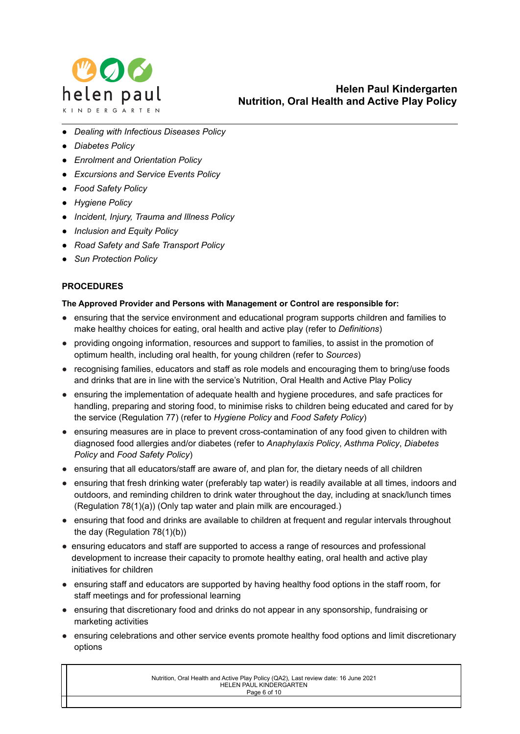

- *● Dealing with Infectious Diseases Policy*
- *● Diabetes Policy*
- *● Enrolment and Orientation Policy*
- *● Excursions and Service Events Policy*
- *● Food Safety Policy*
- *● Hygiene Policy*
- *● Incident, Injury, Trauma and Illness Policy*
- *● Inclusion and Equity Policy*
- *● Road Safety and Safe Transport Policy*
- *● Sun Protection Policy*

## **PROCEDURES**

## **The Approved Provider and Persons with Management or Control are responsible for:**

- ensuring that the service environment and educational program supports children and families to make healthy choices for eating, oral health and active play (refer to *Definitions*)
- providing ongoing information, resources and support to families, to assist in the promotion of optimum health, including oral health, for young children (refer to *Sources*)
- recognising families, educators and staff as role models and encouraging them to bring/use foods and drinks that are in line with the service's Nutrition, Oral Health and Active Play Policy
- ensuring the implementation of adequate health and hygiene procedures, and safe practices for handling, preparing and storing food, to minimise risks to children being educated and cared for by the service (Regulation 77) (refer to *Hygiene Policy* and *Food Safety Policy*)
- ensuring measures are in place to prevent cross-contamination of any food given to children with diagnosed food allergies and/or diabetes (refer to *Anaphylaxis Policy*, *Asthma Policy*, *Diabetes Policy* and *Food Safety Policy*)
- ensuring that all educators/staff are aware of, and plan for, the dietary needs of all children
- ensuring that fresh drinking water (preferably tap water) is readily available at all times, indoors and outdoors, and reminding children to drink water throughout the day, including at snack/lunch times (Regulation 78(1)(a)) (Only tap water and plain milk are encouraged.)
- ensuring that food and drinks are available to children at frequent and regular intervals throughout the day (Regulation 78(1)(b))
- ensuring educators and staff are supported to access a range of resources and professional development to increase their capacity to promote healthy eating, oral health and active play initiatives for children
- ensuring staff and educators are supported by having healthy food options in the staff room, for staff meetings and for professional learning
- ensuring that discretionary food and drinks do not appear in any sponsorship, fundraising or marketing activities
- ensuring celebrations and other service events promote healthy food options and limit discretionary options

Nutrition, Oral Health and Active Play Policy (QA2), Last review date: 16 June 2021 HELEN PAUL KINDERGARTEN Page 6 of 10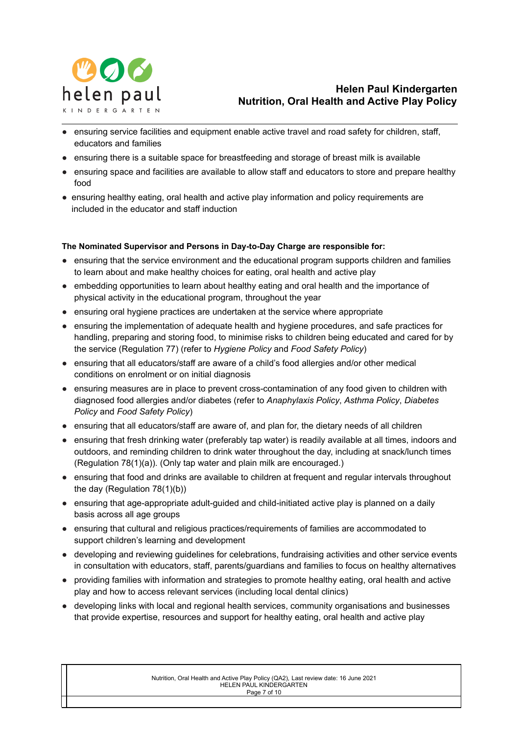

- ensuring service facilities and equipment enable active travel and road safety for children, staff, educators and families
- ensuring there is a suitable space for breastfeeding and storage of breast milk is available
- ensuring space and facilities are available to allow staff and educators to store and prepare healthy food
- ensuring healthy eating, oral health and active play information and policy requirements are included in the educator and staff induction

#### **The Nominated Supervisor and Persons in Day-to-Day Charge are responsible for:**

- ensuring that the service environment and the educational program supports children and families to learn about and make healthy choices for eating, oral health and active play
- embedding opportunities to learn about healthy eating and oral health and the importance of physical activity in the educational program, throughout the year
- ensuring oral hygiene practices are undertaken at the service where appropriate
- ensuring the implementation of adequate health and hygiene procedures, and safe practices for handling, preparing and storing food, to minimise risks to children being educated and cared for by the service (Regulation 77) (refer to *Hygiene Policy* and *Food Safety Policy*)
- ensuring that all educators/staff are aware of a child's food allergies and/or other medical conditions on enrolment or on initial diagnosis
- ensuring measures are in place to prevent cross-contamination of any food given to children with diagnosed food allergies and/or diabetes (refer to *Anaphylaxis Policy*, *Asthma Policy*, *Diabetes Policy* and *Food Safety Policy*)
- ensuring that all educators/staff are aware of, and plan for, the dietary needs of all children
- ensuring that fresh drinking water (preferably tap water) is readily available at all times, indoors and outdoors, and reminding children to drink water throughout the day, including at snack/lunch times (Regulation 78(1)(a)). (Only tap water and plain milk are encouraged.)
- ensuring that food and drinks are available to children at frequent and regular intervals throughout the day (Regulation 78(1)(b))
- ensuring that age-appropriate adult-guided and child-initiated active play is planned on a daily basis across all age groups
- ensuring that cultural and religious practices/requirements of families are accommodated to support children's learning and development
- developing and reviewing quidelines for celebrations, fundraising activities and other service events in consultation with educators, staff, parents/guardians and families to focus on healthy alternatives
- providing families with information and strategies to promote healthy eating, oral health and active play and how to access relevant services (including local dental clinics)
- developing links with local and regional health services, community organisations and businesses that provide expertise, resources and support for healthy eating, oral health and active play

Nutrition, Oral Health and Active Play Policy (QA2), Last review date: 16 June 2021 HELEN PAUL KINDERGARTEN Page 7 of 10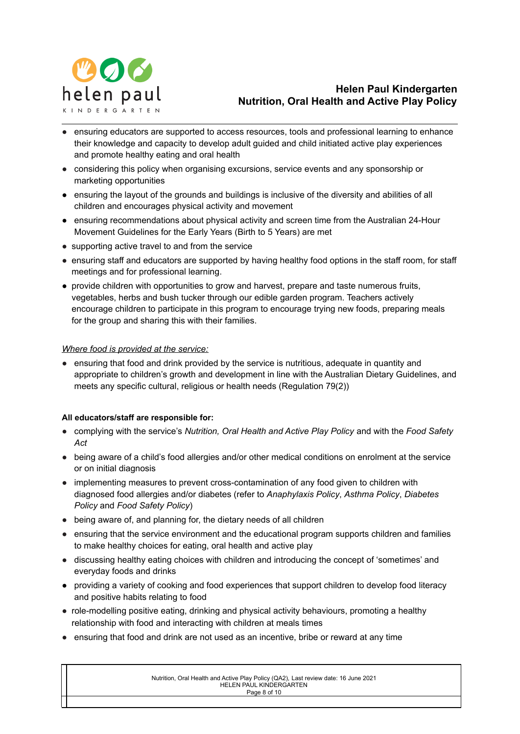

- ensuring educators are supported to access resources, tools and professional learning to enhance their knowledge and capacity to develop adult guided and child initiated active play experiences and promote healthy eating and oral health
- considering this policy when organising excursions, service events and any sponsorship or marketing opportunities
- *●* ensuring the layout of the grounds and buildings is inclusive of the diversity and abilities of all children and encourages physical activity and movement
- *●* ensuring recommendations about physical activity and screen time from the Australian 24-Hour Movement Guidelines for the Early Years (Birth to 5 Years) are met
- supporting active travel to and from the service
- ensuring staff and educators are supported by having healthy food options in the staff room, for staff meetings and for professional learning.
- provide children with opportunities to grow and harvest, prepare and taste numerous fruits, vegetables, herbs and bush tucker through our edible garden program. Teachers actively encourage children to participate in this program to encourage trying new foods, preparing meals for the group and sharing this with their families.

## *Where food is provided at the service:*

● ensuring that food and drink provided by the service is nutritious, adequate in quantity and appropriate to children's growth and development in line with the Australian Dietary Guidelines, and meets any specific cultural, religious or health needs (Regulation 79(2))

## **All educators/staff are responsible for:**

- complying with the service's *Nutrition, Oral Health and Active Play Policy* and with the *Food Safety Act*
- being aware of a child's food allergies and/or other medical conditions on enrolment at the service or on initial diagnosis
- implementing measures to prevent cross-contamination of any food given to children with diagnosed food allergies and/or diabetes (refer to *Anaphylaxis Policy*, *Asthma Policy*, *Diabetes Policy* and *Food Safety Policy*)
- being aware of, and planning for, the dietary needs of all children
- ensuring that the service environment and the educational program supports children and families to make healthy choices for eating, oral health and active play
- discussing healthy eating choices with children and introducing the concept of 'sometimes' and everyday foods and drinks
- providing a variety of cooking and food experiences that support children to develop food literacy and positive habits relating to food
- role-modelling positive eating, drinking and physical activity behaviours, promoting a healthy relationship with food and interacting with children at meals times
- ensuring that food and drink are not used as an incentive, bribe or reward at any time

| Nutrition, Oral Health and Active Play Policy (QA2), Last review date: 16 June 2021 |  |
|-------------------------------------------------------------------------------------|--|
| HELEN PAUL KINDERGARTEN                                                             |  |
| Page 8 of 10                                                                        |  |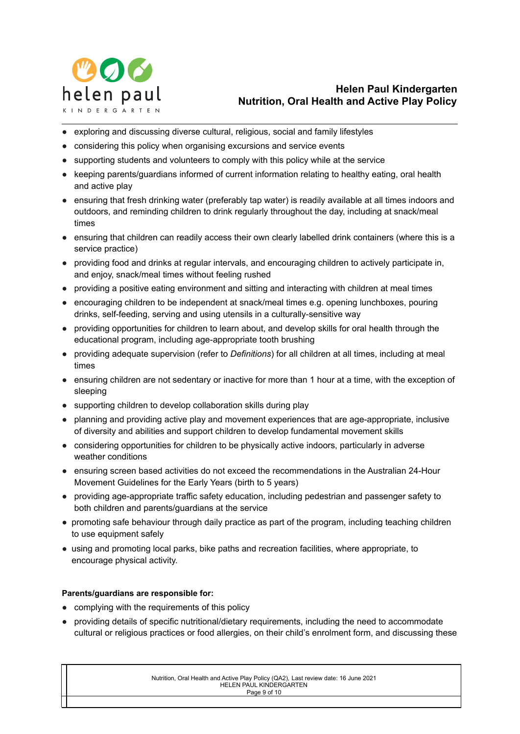

- exploring and discussing diverse cultural, religious, social and family lifestyles
- considering this policy when organising excursions and service events
- supporting students and volunteers to comply with this policy while at the service
- keeping parents/guardians informed of current information relating to healthy eating, oral health and active play
- ensuring that fresh drinking water (preferably tap water) is readily available at all times indoors and outdoors, and reminding children to drink regularly throughout the day, including at snack/meal times
- ensuring that children can readily access their own clearly labelled drink containers (where this is a service practice)
- providing food and drinks at regular intervals, and encouraging children to actively participate in, and enjoy, snack/meal times without feeling rushed
- providing a positive eating environment and sitting and interacting with children at meal times
- encouraging children to be independent at snack/meal times e.g. opening lunchboxes, pouring drinks, self-feeding, serving and using utensils in a culturally-sensitive way
- providing opportunities for children to learn about, and develop skills for oral health through the educational program, including age-appropriate tooth brushing
- providing adequate supervision (refer to *Definitions*) for all children at all times, including at meal times
- ensuring children are not sedentary or inactive for more than 1 hour at a time, with the exception of sleeping
- supporting children to develop collaboration skills during play
- planning and providing active play and movement experiences that are age-appropriate, inclusive of diversity and abilities and support children to develop fundamental movement skills
- considering opportunities for children to be physically active indoors, particularly in adverse weather conditions
- ensuring screen based activities do not exceed the recommendations in the Australian 24-Hour Movement Guidelines for the Early Years (birth to 5 years)
- providing age-appropriate traffic safety education, including pedestrian and passenger safety to both children and parents/guardians at the service
- promoting safe behaviour through daily practice as part of the program, including teaching children to use equipment safely
- using and promoting local parks, bike paths and recreation facilities, where appropriate, to encourage physical activity.

## **Parents/guardians are responsible for:**

- complying with the requirements of this policy
- providing details of specific nutritional/dietary requirements, including the need to accommodate cultural or religious practices or food allergies, on their child's enrolment form, and discussing these

Nutrition, Oral Health and Active Play Policy (QA2), Last review date: 16 June 2021 HELEN PAUL KINDERGARTEN Page 9 of 10